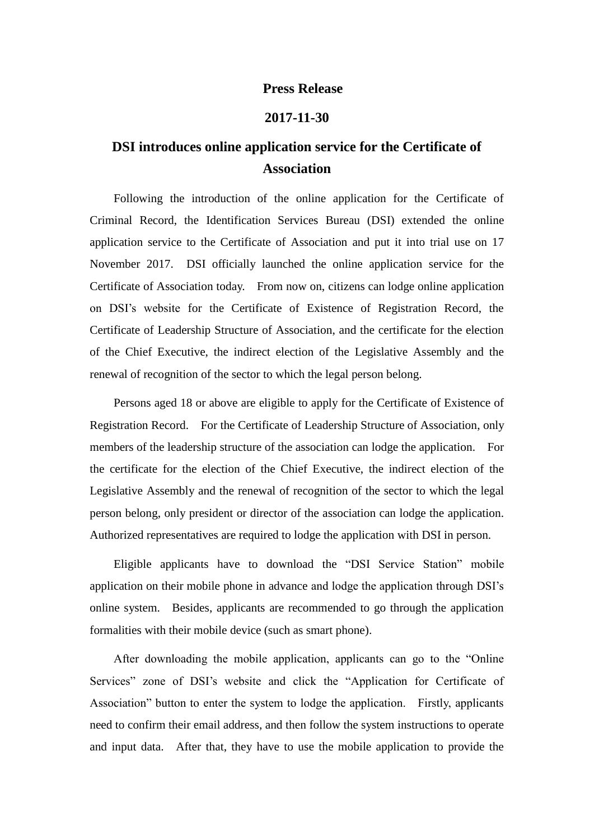## **Press Release**

## **2017-11-30**

## **DSI introduces online application service for the Certificate of Association**

Following the introduction of the online application for the Certificate of Criminal Record, the Identification Services Bureau (DSI) extended the online application service to the Certificate of Association and put it into trial use on 17 November 2017. DSI officially launched the online application service for the Certificate of Association today. From now on, citizens can lodge online application on DSI's website for the Certificate of Existence of Registration Record, the Certificate of Leadership Structure of Association, and the certificate for the election of the Chief Executive, the indirect election of the Legislative Assembly and the renewal of recognition of the sector to which the legal person belong.

Persons aged 18 or above are eligible to apply for the Certificate of Existence of Registration Record. For the Certificate of Leadership Structure of Association, only members of the leadership structure of the association can lodge the application. For the certificate for the election of the Chief Executive, the indirect election of the Legislative Assembly and the renewal of recognition of the sector to which the legal person belong, only president or director of the association can lodge the application. Authorized representatives are required to lodge the application with DSI in person.

Eligible applicants have to download the "DSI Service Station" mobile application on their mobile phone in advance and lodge the application through DSI's online system. Besides, applicants are recommended to go through the application formalities with their mobile device (such as smart phone).

After downloading the mobile application, applicants can go to the "Online Services" zone of DSI's website and click the "Application for Certificate of Association" button to enter the system to lodge the application. Firstly, applicants need to confirm their email address, and then follow the system instructions to operate and input data. After that, they have to use the mobile application to provide the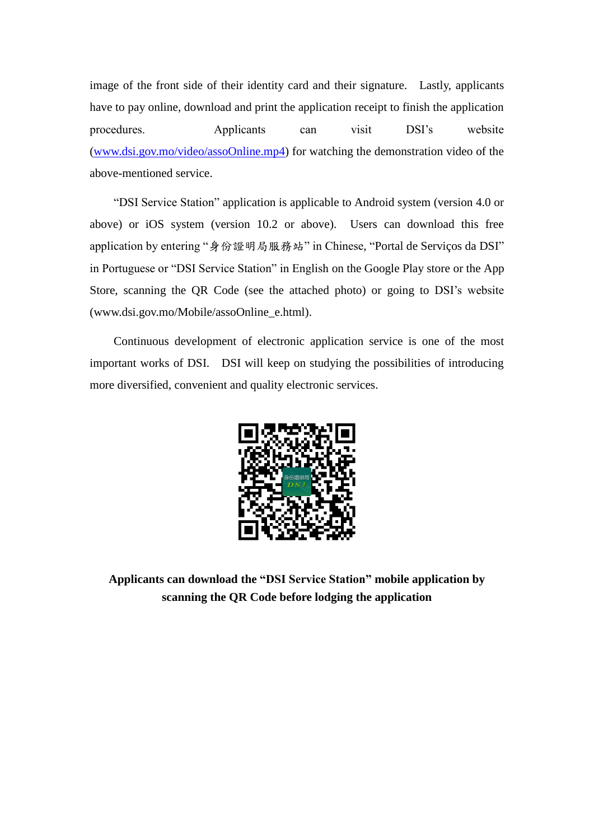image of the front side of their identity card and their signature. Lastly, applicants have to pay online, download and print the application receipt to finish the application procedures. Applicants can visit DSI's website [\(www.dsi.gov.mo/video/assoOnline.mp4\)](http://www.dsi.gov.mo/video/assoOnline.mp4) for watching the demonstration video of the above-mentioned service.

"DSI Service Station" application is applicable to Android system (version 4.0 or above) or iOS system (version 10.2 or above). Users can download this free application by entering "身份證明局服務站" in Chinese, "Portal de Serviços da DSI" in Portuguese or "DSI Service Station" in English on the Google Play store or the App Store, scanning the QR Code (see the attached photo) or going to DSI's website (www.dsi.gov.mo/Mobile/assoOnline\_e.html).

Continuous development of electronic application service is one of the most important works of DSI. DSI will keep on studying the possibilities of introducing more diversified, convenient and quality electronic services.



**Applicants can download the "DSI Service Station" mobile application by scanning the QR Code before lodging the application**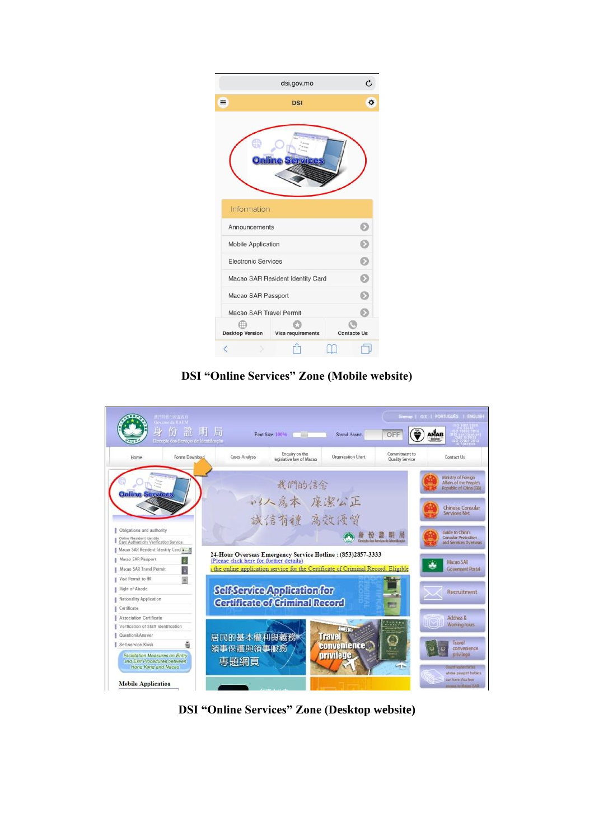|                                       | C                                 |                    |  |  |  |
|---------------------------------------|-----------------------------------|--------------------|--|--|--|
| $\equiv$                              | <b>DSI</b>                        | ۰                  |  |  |  |
| <b>Online Services</b>                |                                   |                    |  |  |  |
| Information                           |                                   |                    |  |  |  |
| Announcements                         |                                   | Ð                  |  |  |  |
| <b>Mobile Application</b>             | Ð                                 |                    |  |  |  |
| <b>Electronic Services</b>            | Ď                                 |                    |  |  |  |
| D<br>Macao SAR Resident Identity Card |                                   |                    |  |  |  |
| Macao SAR Passport                    | Ð                                 |                    |  |  |  |
| Macao SAR Travel Permit               |                                   | മ                  |  |  |  |
|                                       | Desktop Version Visa requirements | <b>Contacte Us</b> |  |  |  |
| €                                     |                                   |                    |  |  |  |

**DSI "Online Services" Zone (Mobile website)**

|                                                                    | -<br>A - 竹田 / 政治政府<br>Governo da KAEM<br>$\bigcirc$      | 局                                       | Font Size: 100%                            | Sound Assist:                                                                     | OFF                                  | Somep   $\oplus x$   PORTUGLÉS   ENGLISH                                 |
|--------------------------------------------------------------------|----------------------------------------------------------|-----------------------------------------|--------------------------------------------|-----------------------------------------------------------------------------------|--------------------------------------|--------------------------------------------------------------------------|
| Home                                                               | Direcção dos Serviços de Identificação<br>Forms Download | Cases Analysis                          | Enquiry on the<br>legislative law of Macao | Organization Chart                                                                | Commitment to<br>Quality Service     | Contact Us                                                               |
| <b>Online Services</b>                                             |                                                          |                                         | 我們的信念                                      |                                                                                   |                                      | Ministry of Foreign<br>Affairs of the People's<br>Republic of China (GB) |
|                                                                    |                                                          |                                         | 以人為本 廉潔公正<br>誠信有禮 高效優質                     |                                                                                   |                                      | Chinese Consular<br>Services Net                                         |
| Obligations and authority                                          |                                                          |                                         |                                            |                                                                                   |                                      | Guide to China's                                                         |
| Online Resident Identity<br>Card Authenticity Verification Service |                                                          |                                         |                                            |                                                                                   | Newcole due Revolute de Metrillourie | Consular Protection<br>and Services Overseas                             |
| Macao SAR Resident Identity Card                                   |                                                          |                                         |                                            |                                                                                   |                                      |                                                                          |
| Macao SAR Passport                                                 |                                                          | (Please click here for further details) |                                            | 24-Hour Overseas Emergency Service Hotline: (853)2857-3333                        |                                      | Macao SAR                                                                |
| Macao SAR Travel Permit                                            | ä                                                        |                                         |                                            | s the online application service for the Certificate of Criminal Record, Eligible |                                      | <b>Government Portal</b>                                                 |
| Visit Permit to HK                                                 |                                                          |                                         |                                            |                                                                                   |                                      |                                                                          |
| Right of Abode                                                     |                                                          |                                         | Self-Service Application for               |                                                                                   |                                      | Recruitment                                                              |
| Nationality Application                                            |                                                          |                                         | Certificate of Griminal Record             |                                                                                   |                                      |                                                                          |
| Certificate                                                        |                                                          |                                         |                                            |                                                                                   | w                                    |                                                                          |
| Association Certificate                                            |                                                          |                                         |                                            |                                                                                   |                                      | Address &                                                                |
| Verification of Staff Identification                               |                                                          |                                         |                                            | $\Box$                                                                            |                                      | <b>Working hours</b>                                                     |
| Question&Answer                                                    |                                                          | 居民的基本權利與義務                              |                                            | <b>Travel</b>                                                                     |                                      |                                                                          |
| Self-service Kiosk                                                 |                                                          | 領事保護與領事服務                               |                                            | <b>Convenience</b>                                                                |                                      | Travel<br>convenience                                                    |
| Facilitation Measures on Entry                                     |                                                          |                                         |                                            | privilege                                                                         |                                      | privilege                                                                |
| and Exit Procedures between<br>Hong Kong and Macao                 |                                                          | 専題網頁                                    |                                            |                                                                                   |                                      | Countries/Termismen                                                      |
|                                                                    |                                                          |                                         |                                            |                                                                                   |                                      | whole passeert holders                                                   |
| <b>Mobile Application</b>                                          |                                                          |                                         |                                            |                                                                                   |                                      | can have Visa-free<br>moves to Marine 7569.                              |

**DSI "Online Services" Zone (Desktop website)**

 $\mathbf{I}$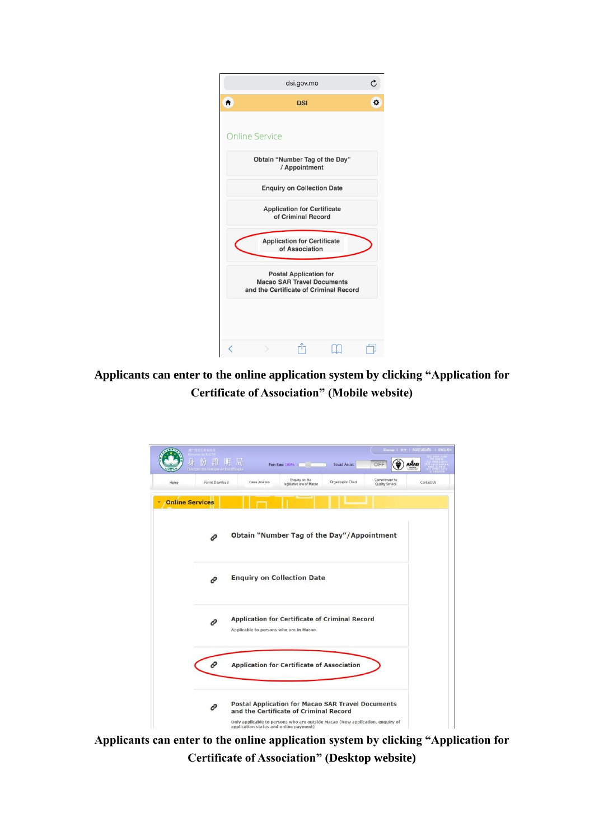|                                                                                                              |                                   | dsi.gov.mo |  | Ċ |  |  |
|--------------------------------------------------------------------------------------------------------------|-----------------------------------|------------|--|---|--|--|
| Ħ                                                                                                            |                                   | <b>DSI</b> |  | ۰ |  |  |
|                                                                                                              | <b>Online Service</b>             |            |  |   |  |  |
| Obtain "Number Tag of the Day"<br>/ Appointment                                                              |                                   |            |  |   |  |  |
|                                                                                                              | <b>Enquiry on Collection Date</b> |            |  |   |  |  |
| <b>Application for Certificate</b><br>of Criminal Record                                                     |                                   |            |  |   |  |  |
| <b>Application for Certificate</b><br>of Association                                                         |                                   |            |  |   |  |  |
| <b>Postal Application for</b><br><b>Macao SAR Travel Documents</b><br>and the Certificate of Criminal Record |                                   |            |  |   |  |  |
| l                                                                                                            |                                   |            |  |   |  |  |

**Applicants can enter to the online application system by clicking "Application for Certificate of Association" (Mobile website)**



**Applicants can enter to the online application system by clicking "Application for Certificate of Association" (Desktop website)**